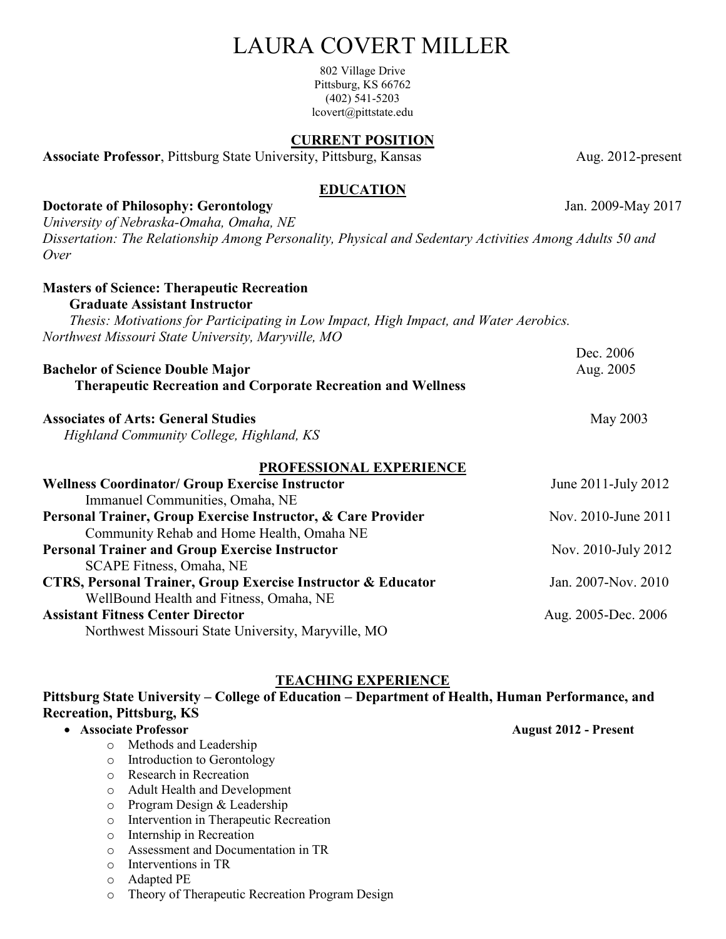# LAURA COVERT MILLER

802 Village Drive Pittsburg, KS 66762 (402) 541-5203 lcovert@pittstate.edu

#### **CURRENT POSITION**

Associate Professor, Pittsburg State University, Pittsburg, Kansas Aug. 2012-present

#### **EDUCATION**

**Doctorate of Philosophy: Gerontology** Jan. 2009-May 2017 *University of Nebraska-Omaha, Omaha, NE*

*Dissertation: The Relationship Among Personality, Physical and Sedentary Activities Among Adults 50 and Over*

| <b>Masters of Science: Therapeutic Recreation</b>                                     |                     |
|---------------------------------------------------------------------------------------|---------------------|
| <b>Graduate Assistant Instructor</b>                                                  |                     |
| Thesis: Motivations for Participating in Low Impact, High Impact, and Water Aerobics. |                     |
| Northwest Missouri State University, Maryville, MO                                    |                     |
|                                                                                       | Dec. 2006           |
| <b>Bachelor of Science Double Major</b>                                               | Aug. 2005           |
| <b>Therapeutic Recreation and Corporate Recreation and Wellness</b>                   |                     |
| <b>Associates of Arts: General Studies</b>                                            | May 2003            |
| Highland Community College, Highland, KS                                              |                     |
| <b>PROFESSIONAL EXPERIENCE</b>                                                        |                     |
| <b>Wellness Coordinator/ Group Exercise Instructor</b>                                | June 2011-July 2012 |
| Immanuel Communities, Omaha, NE                                                       |                     |
| Personal Trainer, Group Exercise Instructor, & Care Provider                          | Nov. 2010-June 2011 |
| Community Rehab and Home Health, Omaha NE                                             |                     |
| <b>Personal Trainer and Group Exercise Instructor</b>                                 | Nov. 2010-July 2012 |
| SCAPE Fitness, Omaha, NE                                                              |                     |
| <b>CTRS, Personal Trainer, Group Exercise Instructor &amp; Educator</b>               | Jan. 2007-Nov. 2010 |
| WellBound Health and Fitness, Omaha, NE                                               |                     |
| <b>Assistant Fitness Center Director</b>                                              | Aug. 2005-Dec. 2006 |

Northwest Missouri State University, Maryville, MO

# **TEACHING EXPERIENCE**

#### **Pittsburg State University – College of Education – Department of Health, Human Performance, and Recreation, Pittsburg, KS**

# • **Associate Professor August 2012 - Present**

- o Methods and Leadership
- o Introduction to Gerontology
- o Research in Recreation
- o Adult Health and Development
- o Program Design & Leadership
- o Intervention in Therapeutic Recreation
- o Internship in Recreation
- o Assessment and Documentation in TR
- o Interventions in TR
- o Adapted PE
- o Theory of Therapeutic Recreation Program Design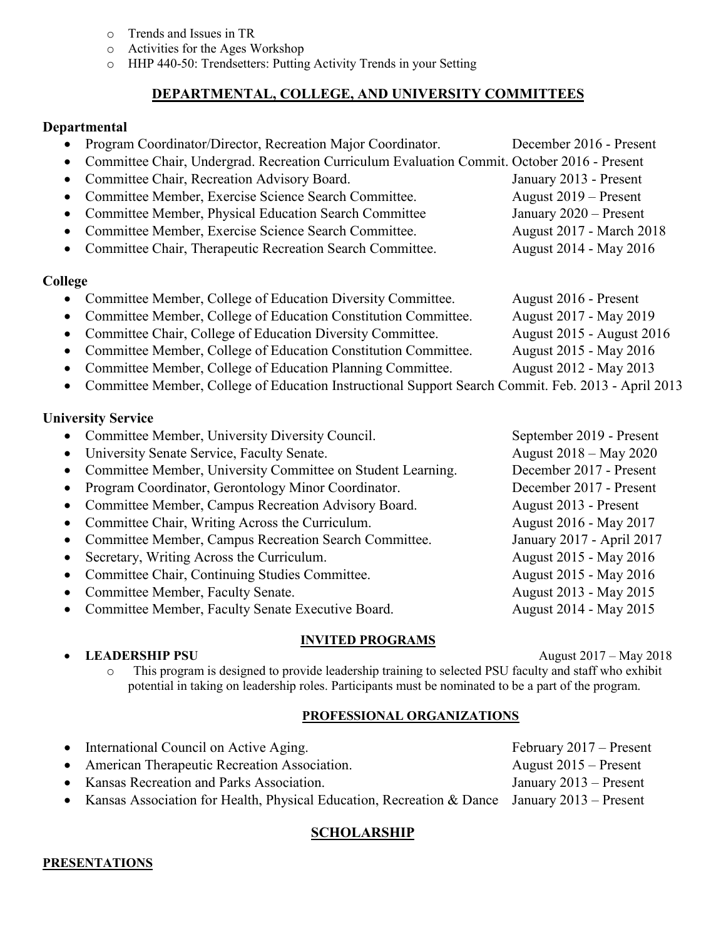- o Trends and Issues in TR
- o Activities for the Ages Workshop
- o HHP 440-50: Trendsetters: Putting Activity Trends in your Setting

# **DEPARTMENTAL, COLLEGE, AND UNIVERSITY COMMITTEES**

#### **Departmental**

| $\bullet$ | Program Coordinator/Director, Recreation Major Coordinator.                                        | December 2016 - Present   |
|-----------|----------------------------------------------------------------------------------------------------|---------------------------|
| $\bullet$ | Committee Chair, Undergrad. Recreation Curriculum Evaluation Commit. October 2016 - Present        |                           |
| $\bullet$ | Committee Chair, Recreation Advisory Board.                                                        | January 2013 - Present    |
| $\bullet$ | Committee Member, Exercise Science Search Committee.                                               | August 2019 – Present     |
| $\bullet$ | Committee Member, Physical Education Search Committee                                              | January 2020 - Present    |
| $\bullet$ | Committee Member, Exercise Science Search Committee.                                               | August 2017 - March 2018  |
| $\bullet$ | Committee Chair, Therapeutic Recreation Search Committee.                                          | August 2014 - May 2016    |
| College   |                                                                                                    |                           |
|           | Committee Member, College of Education Diversity Committee.                                        | August 2016 - Present     |
|           | Committee Member, College of Education Constitution Committee.                                     | August 2017 - May 2019    |
| $\bullet$ | Committee Chair, College of Education Diversity Committee.                                         | August 2015 - August 2016 |
| $\bullet$ | Committee Member, College of Education Constitution Committee.                                     | August 2015 - May 2016    |
| $\bullet$ | Committee Member, College of Education Planning Committee.                                         | August 2012 - May 2013    |
| $\bullet$ | Committee Member, College of Education Instructional Support Search Commit. Feb. 2013 - April 2013 |                           |
|           | <b>University Service</b>                                                                          |                           |
|           | Committee Member, University Diversity Council.                                                    | September 2019 - Present  |
| $\bullet$ | University Senate Service, Faculty Senate.                                                         | August 2018 – May 2020    |
| $\bullet$ | Committee Member, University Committee on Student Learning.                                        | December 2017 - Present   |
| $\bullet$ | Program Coordinator, Gerontology Minor Coordinator.                                                | December 2017 - Present   |
| $\bullet$ | Committee Member, Campus Recreation Advisory Board.                                                | August 2013 - Present     |
| $\bullet$ | Committee Chair, Writing Across the Curriculum.                                                    | August 2016 - May 2017    |
| $\bullet$ | Committee Member, Campus Recreation Search Committee.                                              | January 2017 - April 2017 |
|           | Secretary, Writing Across the Curriculum.                                                          | August 2015 - May 2016    |
| $\bullet$ | Committee Chair, Continuing Studies Committee.                                                     | August 2015 - May 2016    |
| $\bullet$ | Committee Member, Faculty Senate.                                                                  | August 2013 - May 2015    |
|           |                                                                                                    |                           |

• Committee Member, Faculty Senate Executive Board. August 2014 - May 2015

#### **INVITED PROGRAMS**

• **LEADERSHIP PSU** August 2017 – May 2018

o This program is designed to provide leadership training to selected PSU faculty and staff who exhibit potential in taking on leadership roles. Participants must be nominated to be a part of the program.

#### **PROFESSIONAL ORGANIZATIONS**

| • International Council on Active Aging.                                                       | February 2017 – Present  |
|------------------------------------------------------------------------------------------------|--------------------------|
| • American Therapeutic Recreation Association.                                                 | August $2015$ – Present  |
| • Kansas Recreation and Parks Association.                                                     | January $2013$ – Present |
| • Kansas Association for Health, Physical Education, Recreation & Dance January 2013 – Present |                          |

# **SCHOLARSHIP**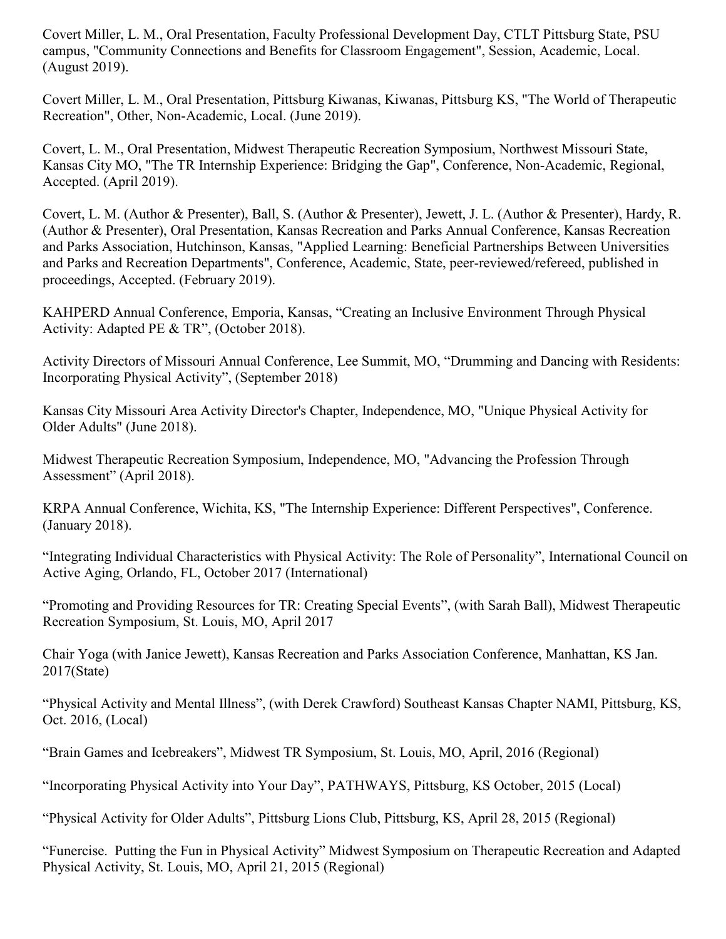Covert Miller, L. M., Oral Presentation, Faculty Professional Development Day, CTLT Pittsburg State, PSU campus, "Community Connections and Benefits for Classroom Engagement", Session, Academic, Local. (August 2019).

Covert Miller, L. M., Oral Presentation, Pittsburg Kiwanas, Kiwanas, Pittsburg KS, "The World of Therapeutic Recreation", Other, Non-Academic, Local. (June 2019).

Covert, L. M., Oral Presentation, Midwest Therapeutic Recreation Symposium, Northwest Missouri State, Kansas City MO, "The TR Internship Experience: Bridging the Gap", Conference, Non-Academic, Regional, Accepted. (April 2019).

Covert, L. M. (Author & Presenter), Ball, S. (Author & Presenter), Jewett, J. L. (Author & Presenter), Hardy, R. (Author & Presenter), Oral Presentation, Kansas Recreation and Parks Annual Conference, Kansas Recreation and Parks Association, Hutchinson, Kansas, "Applied Learning: Beneficial Partnerships Between Universities and Parks and Recreation Departments", Conference, Academic, State, peer-reviewed/refereed, published in proceedings, Accepted. (February 2019).

KAHPERD Annual Conference, Emporia, Kansas, "Creating an Inclusive Environment Through Physical Activity: Adapted PE & TR", (October 2018).

Activity Directors of Missouri Annual Conference, Lee Summit, MO, "Drumming and Dancing with Residents: Incorporating Physical Activity", (September 2018)

Kansas City Missouri Area Activity Director's Chapter, Independence, MO, "Unique Physical Activity for Older Adults" (June 2018).

Midwest Therapeutic Recreation Symposium, Independence, MO, "Advancing the Profession Through Assessment" (April 2018).

KRPA Annual Conference, Wichita, KS, "The Internship Experience: Different Perspectives", Conference. (January 2018).

"Integrating Individual Characteristics with Physical Activity: The Role of Personality", International Council on Active Aging, Orlando, FL, October 2017 (International)

"Promoting and Providing Resources for TR: Creating Special Events", (with Sarah Ball), Midwest Therapeutic Recreation Symposium, St. Louis, MO, April 2017

Chair Yoga (with Janice Jewett), Kansas Recreation and Parks Association Conference, Manhattan, KS Jan. 2017(State)

"Physical Activity and Mental Illness", (with Derek Crawford) Southeast Kansas Chapter NAMI, Pittsburg, KS, Oct. 2016, (Local)

"Brain Games and Icebreakers", Midwest TR Symposium, St. Louis, MO, April, 2016 (Regional)

"Incorporating Physical Activity into Your Day", PATHWAYS, Pittsburg, KS October, 2015 (Local)

"Physical Activity for Older Adults", Pittsburg Lions Club, Pittsburg, KS, April 28, 2015 (Regional)

"Funercise. Putting the Fun in Physical Activity" Midwest Symposium on Therapeutic Recreation and Adapted Physical Activity, St. Louis, MO, April 21, 2015 (Regional)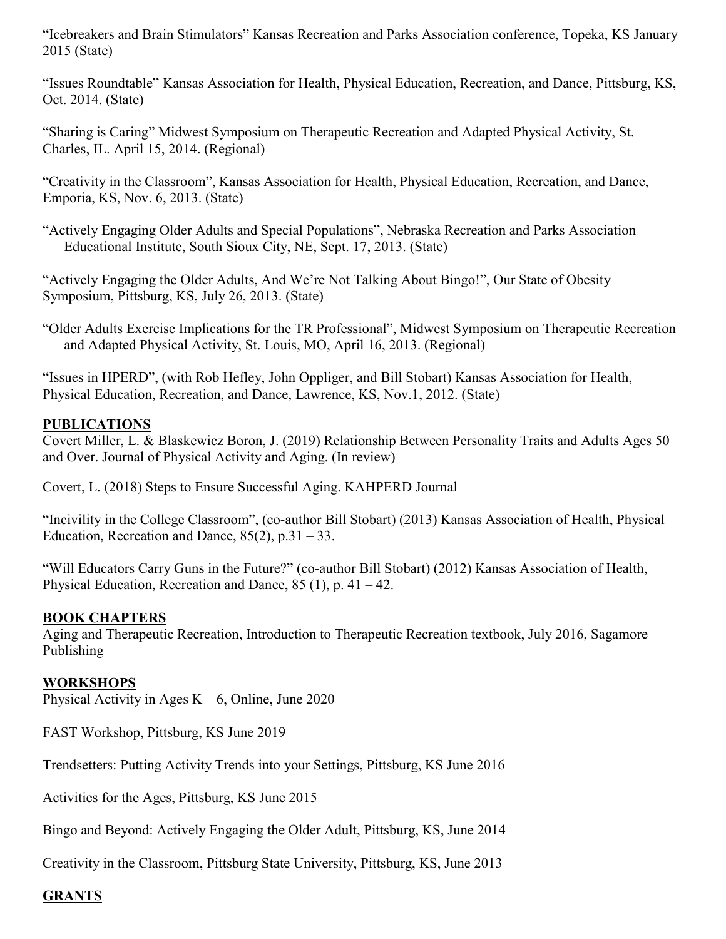"Icebreakers and Brain Stimulators" Kansas Recreation and Parks Association conference, Topeka, KS January 2015 (State)

"Issues Roundtable" Kansas Association for Health, Physical Education, Recreation, and Dance, Pittsburg, KS, Oct. 2014. (State)

"Sharing is Caring" Midwest Symposium on Therapeutic Recreation and Adapted Physical Activity, St. Charles, IL. April 15, 2014. (Regional)

"Creativity in the Classroom", Kansas Association for Health, Physical Education, Recreation, and Dance, Emporia, KS, Nov. 6, 2013. (State)

"Actively Engaging Older Adults and Special Populations", Nebraska Recreation and Parks Association Educational Institute, South Sioux City, NE, Sept. 17, 2013. (State)

"Actively Engaging the Older Adults, And We're Not Talking About Bingo!", Our State of Obesity Symposium, Pittsburg, KS, July 26, 2013. (State)

"Older Adults Exercise Implications for the TR Professional", Midwest Symposium on Therapeutic Recreation and Adapted Physical Activity, St. Louis, MO, April 16, 2013. (Regional)

"Issues in HPERD", (with Rob Hefley, John Oppliger, and Bill Stobart) Kansas Association for Health, Physical Education, Recreation, and Dance, Lawrence, KS, Nov.1, 2012. (State)

# **PUBLICATIONS**

Covert Miller, L. & Blaskewicz Boron, J. (2019) Relationship Between Personality Traits and Adults Ages 50 and Over. Journal of Physical Activity and Aging. (In review)

Covert, L. (2018) Steps to Ensure Successful Aging. KAHPERD Journal

"Incivility in the College Classroom", (co-author Bill Stobart) (2013) Kansas Association of Health, Physical Education, Recreation and Dance,  $85(2)$ , p.31 – 33.

"Will Educators Carry Guns in the Future?" (co-author Bill Stobart) (2012) Kansas Association of Health, Physical Education, Recreation and Dance,  $85(1)$ , p.  $41-42$ .

# **BOOK CHAPTERS**

Aging and Therapeutic Recreation, Introduction to Therapeutic Recreation textbook, July 2016, Sagamore Publishing

#### **WORKSHOPS**

Physical Activity in Ages  $K - 6$ , Online, June 2020

FAST Workshop, Pittsburg, KS June 2019

Trendsetters: Putting Activity Trends into your Settings, Pittsburg, KS June 2016

Activities for the Ages, Pittsburg, KS June 2015

Bingo and Beyond: Actively Engaging the Older Adult, Pittsburg, KS, June 2014

Creativity in the Classroom, Pittsburg State University, Pittsburg, KS, June 2013

# **GRANTS**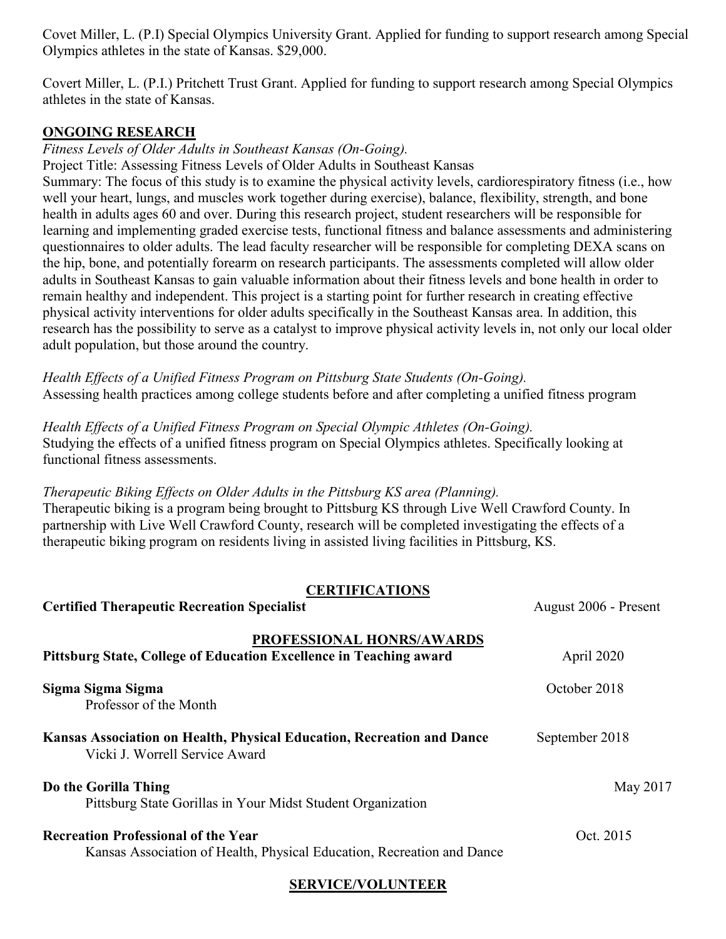Covet Miller, L. (P.I) Special Olympics University Grant. Applied for funding to support research among Special Olympics athletes in the state of Kansas. \$29,000.

Covert Miller, L. (P.I.) Pritchett Trust Grant. Applied for funding to support research among Special Olympics athletes in the state of Kansas.

### **ONGOING RESEARCH**

*Fitness Levels of Older Adults in Southeast Kansas (On-Going).*

Project Title: Assessing Fitness Levels of Older Adults in Southeast Kansas

Summary: The focus of this study is to examine the physical activity levels, cardiorespiratory fitness (i.e., how well your heart, lungs, and muscles work together during exercise), balance, flexibility, strength, and bone health in adults ages 60 and over. During this research project, student researchers will be responsible for learning and implementing graded exercise tests, functional fitness and balance assessments and administering questionnaires to older adults. The lead faculty researcher will be responsible for completing DEXA scans on the hip, bone, and potentially forearm on research participants. The assessments completed will allow older adults in Southeast Kansas to gain valuable information about their fitness levels and bone health in order to remain healthy and independent. This project is a starting point for further research in creating effective physical activity interventions for older adults specifically in the Southeast Kansas area. In addition, this research has the possibility to serve as a catalyst to improve physical activity levels in, not only our local older adult population, but those around the country.

*Health Effects of a Unified Fitness Program on Pittsburg State Students (On-Going).* Assessing health practices among college students before and after completing a unified fitness program

*Health Effects of a Unified Fitness Program on Special Olympic Athletes (On-Going).* Studying the effects of a unified fitness program on Special Olympics athletes. Specifically looking at functional fitness assessments.

*Therapeutic Biking Effects on Older Adults in the Pittsburg KS area (Planning).* Therapeutic biking is a program being brought to Pittsburg KS through Live Well Crawford County. In partnership with Live Well Crawford County, research will be completed investigating the effects of a therapeutic biking program on residents living in assisted living facilities in Pittsburg, KS.

#### **CERTIFICATIONS**

**Certified Therapeutic Recreation Specialist August 2006** - Present

| PROFESSIONAL HONRS/AWARDS<br>Pittsburg State, College of Education Excellence in Teaching award                      | April 2020     |
|----------------------------------------------------------------------------------------------------------------------|----------------|
| Sigma Sigma Sigma<br>Professor of the Month                                                                          | October 2018   |
| Kansas Association on Health, Physical Education, Recreation and Dance<br>Vicki J. Worrell Service Award             | September 2018 |
| Do the Gorilla Thing<br>Pittsburg State Gorillas in Your Midst Student Organization                                  | May 2017       |
| <b>Recreation Professional of the Year</b><br>Kansas Association of Health, Physical Education, Recreation and Dance | Oct. 2015      |

# **SERVICE/VOLUNTEER**